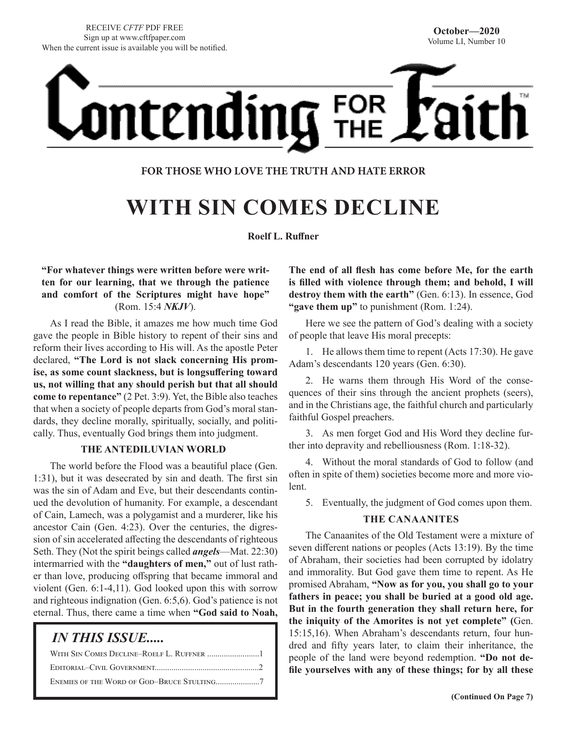# <u>ontending</u> FOR<br>THE

#### **FOR THOSE WHO LOVE THE TRUTH AND HATE ERROR**

# **WITH SIN COMES DECLINE**

**Roelf L. Ruffner**

#### **"For whatever things were written before were written for our learning, that we through the patience and comfort of the Scriptures might have hope"** (Rom. 15:4 *NKJV*).

As I read the Bible, it amazes me how much time God gave the people in Bible history to repent of their sins and reform their lives according to His will. As the apostle Peter declared, **"The Lord is not slack concerning His promise, as some count slackness, but is longsuffering toward us, not willing that any should perish but that all should come to repentance"** (2 Pet. 3:9). Yet, the Bible also teaches that when a society of people departs from God's moral standards, they decline morally, spiritually, socially, and politically. Thus, eventually God brings them into judgment.

#### **THE ANTEDILUVIAN WORLD**

The world before the Flood was a beautiful place (Gen. 1:31), but it was desecrated by sin and death. The first sin was the sin of Adam and Eve, but their descendants continued the devolution of humanity. For example, a descendant of Cain, Lamech, was a polygamist and a murderer, like his ancestor Cain (Gen. 4:23). Over the centuries, the digression of sin accelerated affecting the descendants of righteous Seth. They (Not the spirit beings called *angels*—Mat. 22:30) intermarried with the **"daughters of men,"** out of lust rather than love, producing offspring that became immoral and violent (Gen. 6:1-4,11). God looked upon this with sorrow and righteous indignation (Gen. 6:5,6). God's patience is not eternal. Thus, there came a time when **"God said to Noah,** 

#### *IN THIS ISSUE.....*

**The end of all flesh has come before Me, for the earth is filled with violence through them; and behold, I will destroy them with the earth"** (Gen. 6:13). In essence, God **"gave them up"** to punishment (Rom. 1:24).

Here we see the pattern of God's dealing with a society of people that leave His moral precepts:

1. He allows them time to repent (Acts 17:30). He gave Adam's descendants 120 years (Gen. 6:30).

2. He warns them through His Word of the consequences of their sins through the ancient prophets (seers), and in the Christians age, the faithful church and particularly faithful Gospel preachers.

3. As men forget God and His Word they decline further into depravity and rebelliousness (Rom. 1:18-32).

4. Without the moral standards of God to follow (and often in spite of them) societies become more and more violent.

5. Eventually, the judgment of God comes upon them.

#### **THE CANAANITES**

The Canaanites of the Old Testament were a mixture of seven different nations or peoples (Acts 13:19). By the time of Abraham, their societies had been corrupted by idolatry and immorality. But God gave them time to repent. As He promised Abraham, **"Now as for you, you shall go to your fathers in peace; you shall be buried at a good old age. But in the fourth generation they shall return here, for the iniquity of the Amorites is not yet complete" (**Gen. 15:15,16). When Abraham's descendants return, four hundred and fifty years later, to claim their inheritance, the people of the land were beyond redemption. **"Do not defile yourselves with any of these things; for by all these**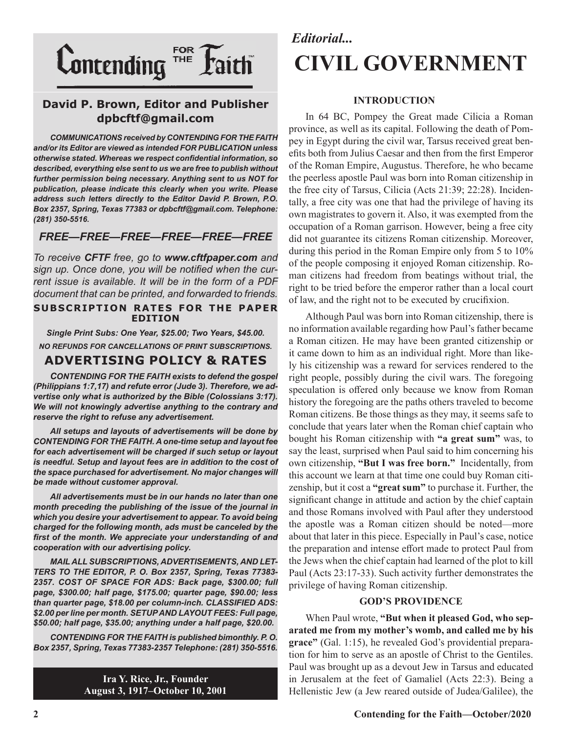

#### **David P. Brown, Editor and Publisher dpbcftf@gmail.com**

*COMMUNICATIONS received by CONTENDING FOR THE FAITH and/or its Editor are viewed as intended FOR PUBLICATION unless otherwise stated. Whereas we respect confidential information, so described, everything else sent to us we are free to publish without further permission being necessary. Anything sent to us NOT for publication, please indicate this clearly when you write. Please address such letters directly to the Editor David P. Brown, P.O. Box 2357, Spring, Texas 77383 or dpbcftf@gmail.com. Telephone: (281) 350-5516.*

#### *FREE—FREE—FREE—FREE—FREE—FREE*

*To receive CFTF free, go to www.cftfpaper.com and sign up. Once done, you will be notified when the current issue is available. It will be in the form of a PDF document that can be printed, and forwarded to friends.*

#### **SUBSCRIPTION RATES FOR THE PAPER EDITION**

*Single Print Subs: One Year, \$25.00; Two Years, \$45.00. NO REFUNDS FOR CANCELLATIONS OF PRINT SUBSCRIPTIONS.*

#### **ADVERTISING POLICY & RATES**

*CONTENDING FOR THE FAITH exists to defend the gospel (Philippians 1:7,17) and refute error (Jude 3). Therefore, we advertise only what is authorized by the Bible (Colossians 3:17). We will not knowingly advertise anything to the contrary and reserve the right to refuse any advertisement.*

*All setups and layouts of advertisements will be done by CONTENDING FOR THE FAITH. A one-time setup and layout fee for each advertisement will be charged if such setup or layout is needful. Setup and layout fees are in addition to the cost of the space purchased for advertisement. No major changes will be made without customer approval.*

*All advertisements must be in our hands no later than one month preceding the publishing of the issue of the journal in which you desire your advertisement to appear. To avoid being charged for the following month, ads must be canceled by the first of the month. We appreciate your understanding of and cooperation with our advertising policy.*

*MAIL ALL SUBSCRIPTIONS, ADVERTISEMENTS, AND LET-TERS TO THE EDITOR, P. O. Box 2357, Spring, Texas 77383- 2357. COST OF SPACE FOR ADS: Back page, \$300.00; full page, \$300.00; half page, \$175.00; quarter page, \$90.00; less than quarter page, \$18.00 per column-inch. CLASSIFIED ADS: \$2.00 per line per month. SETUP AND LAYOUT FEES: Full page, \$50.00; half page, \$35.00; anything under a half page, \$20.00.*

*CONTENDING FOR THE FAITH is published bimonthly. P. O. Box 2357, Spring, Texas 77383-2357 Telephone: (281) 350-5516.*

> **Ira Y. Rice, Jr., Founder August 3, 1917–October 10, 2001**

## *Editorial...* **CIVIL GOVERNMENT**

#### **INTRODUCTION**

In 64 BC, Pompey the Great made Cilicia a Roman province, as well as its capital. Following the death of Pompey in Egypt during the civil war, Tarsus received great benefits both from Julius Caesar and then from the first Emperor of the Roman Empire, Augustus. Therefore, he who became the peerless apostle Paul was born into Roman citizenship in the free city of Tarsus, Cilicia (Acts 21:39; 22:28). Incidentally, a free city was one that had the privilege of having its own magistrates to govern it. Also, it was exempted from the occupation of a Roman garrison. However, being a free city did not guarantee its citizens Roman citizenship. Moreover, during this period in the Roman Empire only from 5 to 10% of the people composing it enjoyed Roman citizenship. Roman citizens had freedom from beatings without trial, the right to be tried before the emperor rather than a local court of law, and the right not to be executed by crucifixion.

Although Paul was born into Roman citizenship, there is no information available regarding how Paul's father became a Roman citizen. He may have been granted citizenship or it came down to him as an individual right. More than likely his citizenship was a reward for services rendered to the right people, possibly during the civil wars. The foregoing speculation is offered only because we know from Roman history the foregoing are the paths others traveled to become Roman citizens. Be those things as they may, it seems safe to conclude that years later when the Roman chief captain who bought his Roman citizenship with **"a great sum"** was, to say the least, surprised when Paul said to him concerning his own citizenship, **"But I was free born."** Incidentally, from this account we learn at that time one could buy Roman citizenship, but it cost a **"great sum"** to purchase it. Further, the significant change in attitude and action by the chief captain and those Romans involved with Paul after they understood the apostle was a Roman citizen should be noted—more about that later in this piece. Especially in Paul's case, notice the preparation and intense effort made to protect Paul from the Jews when the chief captain had learned of the plot to kill Paul (Acts 23:17-33). Such activity further demonstrates the privilege of having Roman citizenship.

#### **GOD'S PROVIDENCE**

When Paul wrote, **"But when it pleased God, who separated me from my mother's womb, and called me by his grace"** (Gal. 1:15), he revealed God's providential preparation for him to serve as an apostle of Christ to the Gentiles. Paul was brought up as a devout Jew in Tarsus and educated in Jerusalem at the feet of Gamaliel (Acts 22:3). Being a Hellenistic Jew (a Jew reared outside of Judea/Galilee), the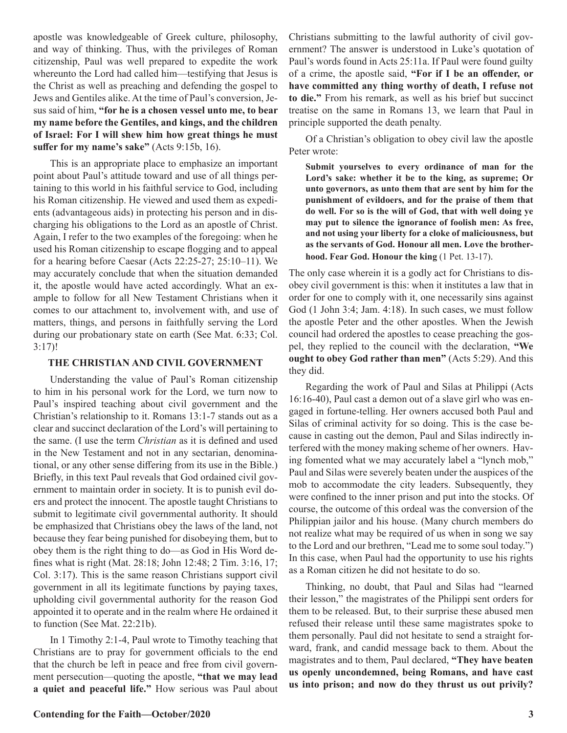apostle was knowledgeable of Greek culture, philosophy, and way of thinking. Thus, with the privileges of Roman citizenship, Paul was well prepared to expedite the work whereunto the Lord had called him—testifying that Jesus is the Christ as well as preaching and defending the gospel to Jews and Gentiles alike. At the time of Paul's conversion, Jesus said of him, **"for he is a chosen vessel unto me, to bear my name before the Gentiles, and kings, and the children of Israel: For I will shew him how great things he must suffer for my name's sake"** (Acts 9:15b, 16).

This is an appropriate place to emphasize an important point about Paul's attitude toward and use of all things pertaining to this world in his faithful service to God, including his Roman citizenship. He viewed and used them as expedients (advantageous aids) in protecting his person and in discharging his obligations to the Lord as an apostle of Christ. Again, I refer to the two examples of the foregoing: when he used his Roman citizenship to escape flogging and to appeal for a hearing before Caesar (Acts 22:25-27; 25:10–11). We may accurately conclude that when the situation demanded it, the apostle would have acted accordingly. What an example to follow for all New Testament Christians when it comes to our attachment to, involvement with, and use of matters, things, and persons in faithfully serving the Lord during our probationary state on earth (See Mat. 6:33; Col. 3:17)!

#### **THE CHRISTIAN AND CIVIL GOVERNMENT**

Understanding the value of Paul's Roman citizenship to him in his personal work for the Lord, we turn now to Paul's inspired teaching about civil government and the Christian's relationship to it. Romans 13:1-7 stands out as a clear and succinct declaration of the Lord's will pertaining to the same. (I use the term *Christian* as it is defined and used in the New Testament and not in any sectarian, denominational, or any other sense differing from its use in the Bible.) Briefly, in this text Paul reveals that God ordained civil government to maintain order in society. It is to punish evil doers and protect the innocent. The apostle taught Christians to submit to legitimate civil governmental authority. It should be emphasized that Christians obey the laws of the land, not because they fear being punished for disobeying them, but to obey them is the right thing to do—as God in His Word defines what is right (Mat. 28:18; John 12:48; 2 Tim. 3:16, 17; Col. 3:17). This is the same reason Christians support civil government in all its legitimate functions by paying taxes, upholding civil governmental authority for the reason God appointed it to operate and in the realm where He ordained it to function (See Mat. 22:21b).

In 1 Timothy 2:1-4, Paul wrote to Timothy teaching that Christians are to pray for government officials to the end that the church be left in peace and free from civil government persecution—quoting the apostle, **"that we may lead a quiet and peaceful life."** How serious was Paul about Christians submitting to the lawful authority of civil government? The answer is understood in Luke's quotation of Paul's words found in Acts 25:11a. If Paul were found guilty of a crime, the apostle said, **"For if I be an offender, or have committed any thing worthy of death, I refuse not to die."** From his remark, as well as his brief but succinct treatise on the same in Romans 13, we learn that Paul in principle supported the death penalty.

Of a Christian's obligation to obey civil law the apostle Peter wrote:

**Submit yourselves to every ordinance of man for the Lord's sake: whether it be to the king, as supreme; Or unto governors, as unto them that are sent by him for the punishment of evildoers, and for the praise of them that do well. For so is the will of God, that with well doing ye may put to silence the ignorance of foolish men: As free, and not using your liberty for a cloke of maliciousness, but as the servants of God. Honour all men. Love the brotherhood. Fear God. Honour the king** (1 Pet. 13-17).

The only case wherein it is a godly act for Christians to disobey civil government is this: when it institutes a law that in order for one to comply with it, one necessarily sins against God (1 John 3:4; Jam. 4:18). In such cases, we must follow the apostle Peter and the other apostles. When the Jewish council had ordered the apostles to cease preaching the gospel, they replied to the council with the declaration, **"We ought to obey God rather than men"** (Acts 5:29). And this they did.

Regarding the work of Paul and Silas at Philippi (Acts 16:16-40), Paul cast a demon out of a slave girl who was engaged in fortune-telling. Her owners accused both Paul and Silas of criminal activity for so doing. This is the case because in casting out the demon, Paul and Silas indirectly interfered with the money making scheme of her owners. Having fomented what we may accurately label a "lynch mob," Paul and Silas were severely beaten under the auspices of the mob to accommodate the city leaders. Subsequently, they were confined to the inner prison and put into the stocks. Of course, the outcome of this ordeal was the conversion of the Philippian jailor and his house. (Many church members do not realize what may be required of us when in song we say to the Lord and our brethren, "Lead me to some soul today.") In this case, when Paul had the opportunity to use his rights as a Roman citizen he did not hesitate to do so.

Thinking, no doubt, that Paul and Silas had "learned their lesson," the magistrates of the Philippi sent orders for them to be released. But, to their surprise these abused men refused their release until these same magistrates spoke to them personally. Paul did not hesitate to send a straight forward, frank, and candid message back to them. About the magistrates and to them, Paul declared, **"They have beaten us openly uncondemned, being Romans, and have cast us into prison; and now do they thrust us out privily?**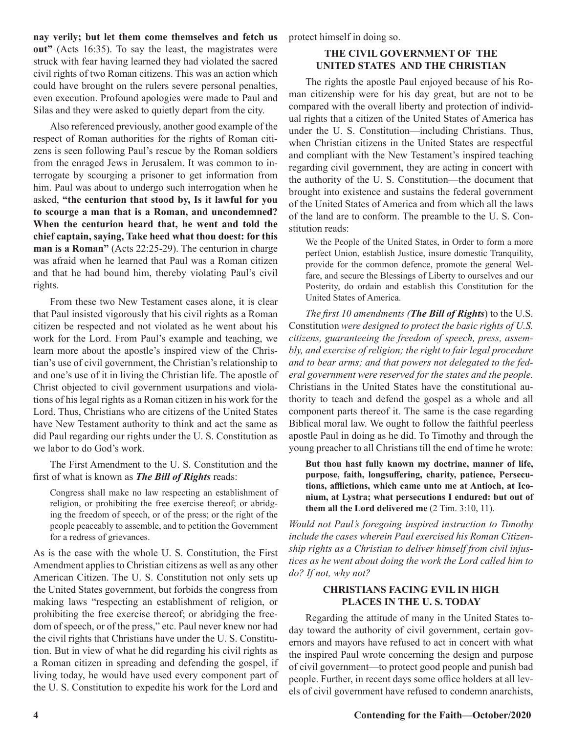**nay verily; but let them come themselves and fetch us out"** (Acts 16:35). To say the least, the magistrates were struck with fear having learned they had violated the sacred civil rights of two Roman citizens. This was an action which could have brought on the rulers severe personal penalties, even execution. Profound apologies were made to Paul and Silas and they were asked to quietly depart from the city.

Also referenced previously, another good example of the respect of Roman authorities for the rights of Roman citizens is seen following Paul's rescue by the Roman soldiers from the enraged Jews in Jerusalem. It was common to interrogate by scourging a prisoner to get information from him. Paul was about to undergo such interrogation when he asked, **"the centurion that stood by, Is it lawful for you to scourge a man that is a Roman, and uncondemned? When the centurion heard that, he went and told the chief captain, saying, Take heed what thou doest: for this man is a Roman"** (Acts 22:25-29). The centurion in charge was afraid when he learned that Paul was a Roman citizen and that he had bound him, thereby violating Paul's civil rights.

From these two New Testament cases alone, it is clear that Paul insisted vigorously that his civil rights as a Roman citizen be respected and not violated as he went about his work for the Lord. From Paul's example and teaching, we learn more about the apostle's inspired view of the Christian's use of civil government, the Christian's relationship to and one's use of it in living the Christian life. The apostle of Christ objected to civil government usurpations and violations of his legal rights as a Roman citizen in his work for the Lord. Thus, Christians who are citizens of the United States have New Testament authority to think and act the same as did Paul regarding our rights under the U. S. Constitution as we labor to do God's work.

The First Amendment to the U. S. Constitution and the first of what is known as *The Bill of Rights* reads:

Congress shall make no law respecting an establishment of religion, or prohibiting the free exercise thereof; or abridging the freedom of speech, or of the press; or the right of the people peaceably to assemble, and to petition the Government for a redress of grievances.

As is the case with the whole U. S. Constitution, the First Amendment applies to Christian citizens as well as any other American Citizen. The U. S. Constitution not only sets up the United States government, but forbids the congress from making laws "respecting an establishment of religion, or prohibiting the free exercise thereof; or abridging the freedom of speech, or of the press," etc. Paul never knew nor had the civil rights that Christians have under the U. S. Constitution. But in view of what he did regarding his civil rights as a Roman citizen in spreading and defending the gospel, if living today, he would have used every component part of the U. S. Constitution to expedite his work for the Lord and

protect himself in doing so.

#### **THE CIVIL GOVERNMENT OF THE UNITED STATES AND THE CHRISTIAN**

The rights the apostle Paul enjoyed because of his Roman citizenship were for his day great, but are not to be compared with the overall liberty and protection of individual rights that a citizen of the United States of America has under the U. S. Constitution—including Christians. Thus, when Christian citizens in the United States are respectful and compliant with the New Testament's inspired teaching regarding civil government, they are acting in concert with the authority of the U. S. Constitution—the document that brought into existence and sustains the federal government of the United States of America and from which all the laws of the land are to conform. The preamble to the U. S. Constitution reads:

We the People of the United States, in Order to form a more perfect Union, establish Justice, insure domestic Tranquility, provide for the common defence, promote the general Welfare, and secure the Blessings of Liberty to ourselves and our Posterity, do ordain and establish this Constitution for the United States of America.

*The first 10 amendments (The Bill of Rights*) to the U.S. Constitution *were designed to protect the basic rights of U.S. citizens, guaranteeing the freedom of speech, press, assembly, and exercise of religion; the right to fair legal procedure and to bear arms; and that powers not delegated to the federal government were reserved for the states and the people.* Christians in the United States have the constitutional authority to teach and defend the gospel as a whole and all component parts thereof it. The same is the case regarding Biblical moral law. We ought to follow the faithful peerless apostle Paul in doing as he did. To Timothy and through the young preacher to all Christians till the end of time he wrote:

**But thou hast fully known my doctrine, manner of life, purpose, faith, longsuffering, charity, patience, Persecutions, afflictions, which came unto me at Antioch, at Iconium, at Lystra; what persecutions I endured: but out of them all the Lord delivered me** (2 Tim. 3:10, 11).

*Would not Paul's foregoing inspired instruction to Timothy include the cases wherein Paul exercised his Roman Citizenship rights as a Christian to deliver himself from civil injustices as he went about doing the work the Lord called him to do? If not, why not?*

#### **CHRISTIANS FACING EVIL IN HIGH PLACES IN THE U. S. TODAY**

Regarding the attitude of many in the United States today toward the authority of civil government, certain governors and mayors have refused to act in concert with what the inspired Paul wrote concerning the design and purpose of civil government—to protect good people and punish bad people. Further, in recent days some office holders at all levels of civil government have refused to condemn anarchists,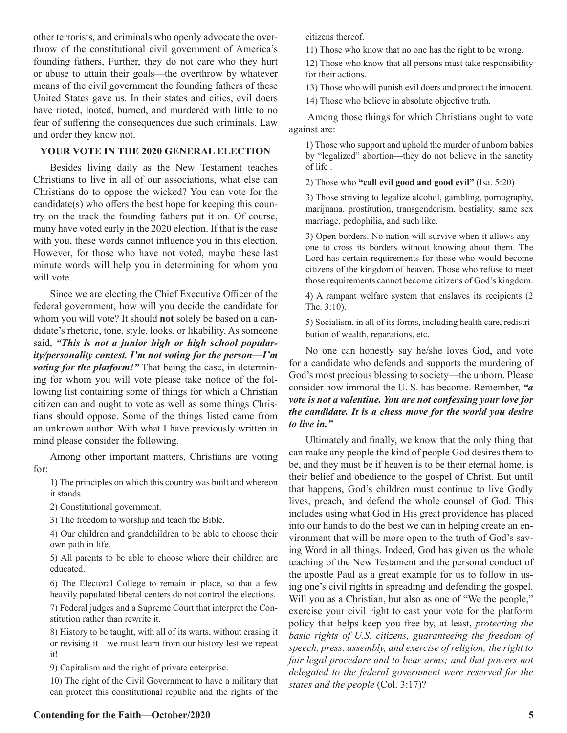other terrorists, and criminals who openly advocate the overthrow of the constitutional civil government of America's founding fathers, Further, they do not care who they hurt or abuse to attain their goals—the overthrow by whatever means of the civil government the founding fathers of these United States gave us. In their states and cities, evil doers have rioted, looted, burned, and murdered with little to no fear of suffering the consequences due such criminals. Law and order they know not.

#### **YOUR VOTE IN THE 2020 GENERAL ELECTION**

Besides living daily as the New Testament teaches Christians to live in all of our associations, what else can Christians do to oppose the wicked? You can vote for the candidate(s) who offers the best hope for keeping this country on the track the founding fathers put it on. Of course, many have voted early in the 2020 election. If that is the case with you, these words cannot influence you in this election. However, for those who have not voted, maybe these last minute words will help you in determining for whom you will vote.

Since we are electing the Chief Executive Officer of the federal government, how will you decide the candidate for whom you will vote? It should **not** solely be based on a candidate's rhetoric, tone, style, looks, or likability. As someone said, *"This is not a junior high or high school popularity/personality contest. I'm not voting for the person—I'm voting for the platform!"* That being the case, in determining for whom you will vote please take notice of the following list containing some of things for which a Christian citizen can and ought to vote as well as some things Christians should oppose. Some of the things listed came from an unknown author. With what I have previously written in mind please consider the following.

Among other important matters, Christians are voting for:

1) The principles on which this country was built and whereon it stands.

2) Constitutional government.

3) The freedom to worship and teach the Bible.

4) Our children and grandchildren to be able to choose their own path in life.

5) All parents to be able to choose where their children are educated.

6) The Electoral College to remain in place, so that a few heavily populated liberal centers do not control the elections.

7) Federal judges and a Supreme Court that interpret the Constitution rather than rewrite it.

8) History to be taught, with all of its warts, without erasing it or revising it—we must learn from our history lest we repeat it!

9) Capitalism and the right of private enterprise.

10) The right of the Civil Government to have a military that can protect this constitutional republic and the rights of the 11) Those who know that no one has the right to be wrong.

12) Those who know that all persons must take responsibility for their actions.

13) Those who will punish evil doers and protect the innocent.

14) Those who believe in absolute objective truth.

 Among those things for which Christians ought to vote against are:

1) Those who support and uphold the murder of unborn babies by "legalized" abortion—they do not believe in the sanctity of life .

2) Those who **"call evil good and good evil"** (Isa. 5:20)

3) Those striving to legalize alcohol, gambling, pornography, marijuana, prostitution, transgenderism, bestiality, same sex marriage, pedophilia, and such like.

3) Open borders. No nation will survive when it allows anyone to cross its borders without knowing about them. The Lord has certain requirements for those who would become citizens of the kingdom of heaven. Those who refuse to meet those requirements cannot become citizens of God's kingdom.

4) A rampant welfare system that enslaves its recipients (2 The. 3:10).

5) Socialism, in all of its forms, including health care, redistribution of wealth, reparations, etc.

No one can honestly say he/she loves God, and vote for a candidate who defends and supports the murdering of God's most precious blessing to society—the unborn. Please consider how immoral the U. S. has become. Remember, *"a vote is not a valentine. You are not confessing your love for the candidate. It is a chess move for the world you desire to live in."*

Ultimately and finally, we know that the only thing that can make any people the kind of people God desires them to be, and they must be if heaven is to be their eternal home, is their belief and obedience to the gospel of Christ. But until that happens, God's children must continue to live Godly lives, preach, and defend the whole counsel of God. This includes using what God in His great providence has placed into our hands to do the best we can in helping create an environment that will be more open to the truth of God's saving Word in all things. Indeed, God has given us the whole teaching of the New Testament and the personal conduct of the apostle Paul as a great example for us to follow in using one's civil rights in spreading and defending the gospel. Will you as a Christian, but also as one of "We the people," exercise your civil right to cast your vote for the platform policy that helps keep you free by, at least, *protecting the basic rights of U.S. citizens, guaranteeing the freedom of speech, press, assembly, and exercise of religion; the right to*  fair legal procedure and to bear arms; and that powers not *delegated to the federal government were reserved for the states and the people* (Col. 3:17)?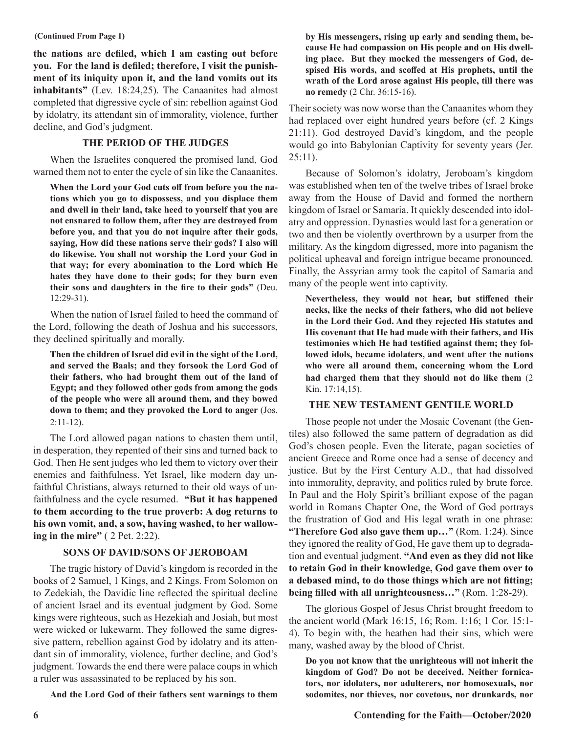#### **(Continued From Page 1)**

**the nations are defiled, which I am casting out before you. For the land is defiled; therefore, I visit the punishment of its iniquity upon it, and the land vomits out its inhabitants"** (Lev. 18:24,25). The Canaanites had almost completed that digressive cycle of sin: rebellion against God by idolatry, its attendant sin of immorality, violence, further decline, and God's judgment.

#### **THE PERIOD OF THE JUDGES**

When the Israelites conquered the promised land, God warned them not to enter the cycle of sin like the Canaanites.

**When the Lord your God cuts off from before you the nations which you go to dispossess, and you displace them and dwell in their land, take heed to yourself that you are not ensnared to follow them, after they are destroyed from before you, and that you do not inquire after their gods, saying, How did these nations serve their gods? I also will do likewise. You shall not worship the Lord your God in that way; for every abomination to the Lord which He hates they have done to their gods; for they burn even their sons and daughters in the fire to their gods"** (Deu. 12:29-31).

When the nation of Israel failed to heed the command of the Lord, following the death of Joshua and his successors, they declined spiritually and morally.

**Then the children of Israel did evil in the sight of the Lord, and served the Baals; and they forsook the Lord God of their fathers, who had brought them out of the land of Egypt; and they followed other gods from among the gods of the people who were all around them, and they bowed down to them; and they provoked the Lord to anger** (Jos. 2:11-12).

The Lord allowed pagan nations to chasten them until, in desperation, they repented of their sins and turned back to God. Then He sent judges who led them to victory over their enemies and faithfulness. Yet Israel, like modern day unfaithful Christians, always returned to their old ways of unfaithfulness and the cycle resumed. **"But it has happened to them according to the true proverb: A dog returns to his own vomit, and, a sow, having washed, to her wallowing in the mire"** ( 2 Pet. 2:22).

#### **SONS OF DAVID/SONS OF JEROBOAM**

The tragic history of David's kingdom is recorded in the books of 2 Samuel, 1 Kings, and 2 Kings. From Solomon on to Zedekiah, the Davidic line reflected the spiritual decline of ancient Israel and its eventual judgment by God. Some kings were righteous, such as Hezekiah and Josiah, but most were wicked or lukewarm. They followed the same digressive pattern, rebellion against God by idolatry and its attendant sin of immorality, violence, further decline, and God's judgment. Towards the end there were palace coups in which a ruler was assassinated to be replaced by his son.

**And the Lord God of their fathers sent warnings to them** 

**by His messengers, rising up early and sending them, because He had compassion on His people and on His dwelling place. But they mocked the messengers of God, despised His words, and scoffed at His prophets, until the wrath of the Lord arose against His people, till there was no remedy** (2 Chr. 36:15-16).

Their society was now worse than the Canaanites whom they had replaced over eight hundred years before (cf. 2 Kings 21:11). God destroyed David's kingdom, and the people would go into Babylonian Captivity for seventy years (Jer.  $25:11$ ).

Because of Solomon's idolatry, Jeroboam's kingdom was established when ten of the twelve tribes of Israel broke away from the House of David and formed the northern kingdom of Israel or Samaria. It quickly descended into idolatry and oppression. Dynasties would last for a generation or two and then be violently overthrown by a usurper from the military. As the kingdom digressed, more into paganism the political upheaval and foreign intrigue became pronounced. Finally, the Assyrian army took the capitol of Samaria and many of the people went into captivity.

**Nevertheless, they would not hear, but stiffened their necks, like the necks of their fathers, who did not believe in the Lord their God. And they rejected His statutes and His covenant that He had made with their fathers, and His testimonies which He had testified against them; they followed idols, became idolaters, and went after the nations who were all around them, concerning whom the Lord had charged them that they should not do like them** (2 Kin. 17:14,15).

#### **THE NEW TESTAMENT GENTILE WORLD**

Those people not under the Mosaic Covenant (the Gentiles) also followed the same pattern of degradation as did God's chosen people. Even the literate, pagan societies of ancient Greece and Rome once had a sense of decency and justice. But by the First Century A.D., that had dissolved into immorality, depravity, and politics ruled by brute force. In Paul and the Holy Spirit's brilliant expose of the pagan world in Romans Chapter One, the Word of God portrays the frustration of God and His legal wrath in one phrase: **"Therefore God also gave them up…"** (Rom. 1:24). Since they ignored the reality of God, He gave them up to degradation and eventual judgment. **"And even as they did not like to retain God in their knowledge, God gave them over to a debased mind, to do those things which are not fitting; being filled with all unrighteousness…"** (Rom. 1:28-29).

The glorious Gospel of Jesus Christ brought freedom to the ancient world (Mark 16:15, 16; Rom. 1:16; 1 Cor. 15:1- 4). To begin with, the heathen had their sins, which were many, washed away by the blood of Christ.

**Do you not know that the unrighteous will not inherit the kingdom of God? Do not be deceived. Neither fornicators, nor idolaters, nor adulterers, nor homosexuals, nor sodomites, nor thieves, nor covetous, nor drunkards, nor**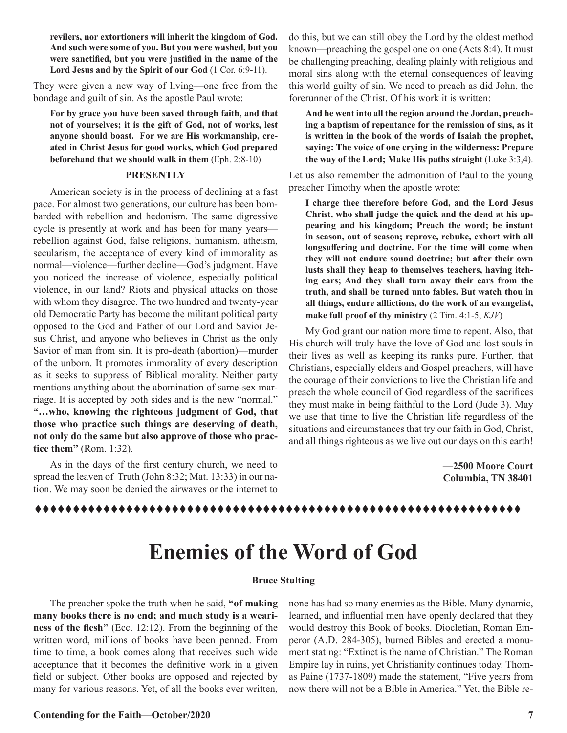**revilers, nor extortioners will inherit the kingdom of God. And such were some of you. But you were washed, but you were sanctified, but you were justified in the name of the Lord Jesus and by the Spirit of our God** (1 Cor. 6:9-11).

They were given a new way of living—one free from the bondage and guilt of sin. As the apostle Paul wrote:

**For by grace you have been saved through faith, and that not of yourselves; it is the gift of God, not of works, lest anyone should boast. For we are His workmanship, created in Christ Jesus for good works, which God prepared beforehand that we should walk in them** (Eph. 2:8-10).

#### **PRESENTLY**

American society is in the process of declining at a fast pace. For almost two generations, our culture has been bombarded with rebellion and hedonism. The same digressive cycle is presently at work and has been for many years rebellion against God, false religions, humanism, atheism, secularism, the acceptance of every kind of immorality as normal—violence—further decline—God's judgment. Have you noticed the increase of violence, especially political violence, in our land? Riots and physical attacks on those with whom they disagree. The two hundred and twenty-year old Democratic Party has become the militant political party opposed to the God and Father of our Lord and Savior Jesus Christ, and anyone who believes in Christ as the only Savior of man from sin. It is pro-death (abortion)—murder of the unborn. It promotes immorality of every description as it seeks to suppress of Biblical morality. Neither party mentions anything about the abomination of same-sex marriage. It is accepted by both sides and is the new "normal." **"…who, knowing the righteous judgment of God, that those who practice such things are deserving of death, not only do the same but also approve of those who practice them"** (Rom. 1:32).

As in the days of the first century church, we need to spread the leaven of Truth (John 8:32; Mat. 13:33) in our nation. We may soon be denied the airwaves or the internet to

do this, but we can still obey the Lord by the oldest method known—preaching the gospel one on one (Acts 8:4). It must be challenging preaching, dealing plainly with religious and moral sins along with the eternal consequences of leaving this world guilty of sin. We need to preach as did John, the forerunner of the Christ. Of his work it is written:

**And he went into all the region around the Jordan, preaching a baptism of repentance for the remission of sins, as it is written in the book of the words of Isaiah the prophet, saying: The voice of one crying in the wilderness: Prepare the way of the Lord; Make His paths straight** (Luke 3:3,4).

Let us also remember the admonition of Paul to the young preacher Timothy when the apostle wrote:

**I charge thee therefore before God, and the Lord Jesus Christ, who shall judge the quick and the dead at his appearing and his kingdom; Preach the word; be instant in season, out of season; reprove, rebuke, exhort with all longsuffering and doctrine. For the time will come when they will not endure sound doctrine; but after their own lusts shall they heap to themselves teachers, having itching ears; And they shall turn away their ears from the truth, and shall be turned unto fables. But watch thou in all things, endure afflictions, do the work of an evangelist, make full proof of thy ministry** (2 Tim. 4:1-5, *KJV*)

My God grant our nation more time to repent. Also, that His church will truly have the love of God and lost souls in their lives as well as keeping its ranks pure. Further, that Christians, especially elders and Gospel preachers, will have the courage of their convictions to live the Christian life and preach the whole council of God regardless of the sacrifices they must make in being faithful to the Lord (Jude 3). May we use that time to live the Christian life regardless of the situations and circumstances that try our faith in God, Christ, and all things righteous as we live out our days on this earth!

> **—2500 Moore Court Columbia, TN 38401**

#### tttttttttttttttttttttttttttttttttttttttttttttttttttttttttttttttt

### **Enemies of the Word of God**

#### **Bruce Stulting**

The preacher spoke the truth when he said, **"of making many books there is no end; and much study is a weariness of the flesh"** (Ecc. 12:12). From the beginning of the written word, millions of books have been penned. From time to time, a book comes along that receives such wide acceptance that it becomes the definitive work in a given field or subject. Other books are opposed and rejected by many for various reasons. Yet, of all the books ever written, none has had so many enemies as the Bible. Many dynamic, learned, and influential men have openly declared that they would destroy this Book of books. Diocletian, Roman Emperor (A.D. 284-305), burned Bibles and erected a monument stating: "Extinct is the name of Christian." The Roman Empire lay in ruins, yet Christianity continues today. Thomas Paine (1737-1809) made the statement, "Five years from now there will not be a Bible in America." Yet, the Bible re-